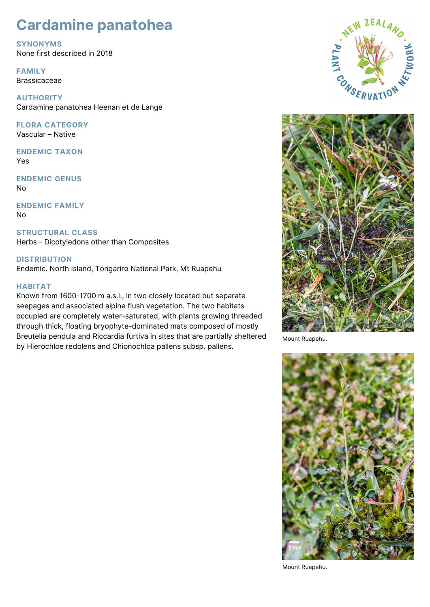# **Cardamine panatohea**

**SYNONYMS** None first described in 2018

**FAMILY** Brassicaceae

**AUTHORITY** Cardamine panatohea Heenan et de Lange

**FLORA CATEGORY** Vascular – Native

**ENDEMIC TAXON** Yes

**ENDEMIC GENUS** No

**ENDEMIC FAMILY** No

**STRUCTURAL CLASS** Herbs - Dicotyledons other than Composites

**DISTRIBUTION** Endemic. North Island, Tongariro National Park, Mt Ruapehu

## **HABITAT**

Known from 1600-1700 m a.s.l., in two closely located but separate seepages and associated alpine flush vegetation. The two habitats occupied are completely water-saturated, with plants growing threaded through thick, floating bryophyte-dominated mats composed of mostly Breutelia pendula and Riccardia furtiva in sites that are partially sheltered by Hierochloe redolens and Chionochloa pallens subsp. pallens.





Mount Ruapehu.



Mount Ruapehu.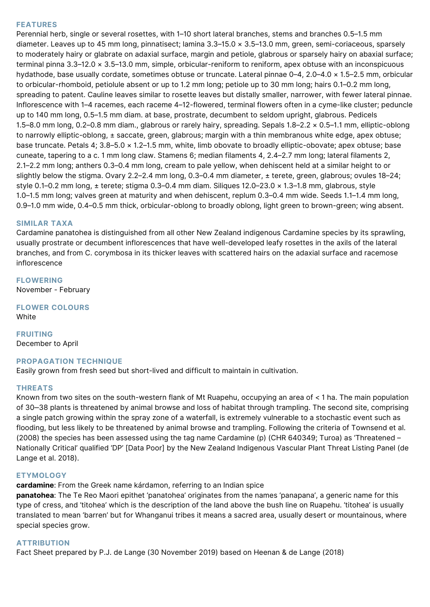## **FEATURES**

Perennial herb, single or several rosettes, with 1–10 short lateral branches, stems and branches 0.5–1.5 mm diameter. Leaves up to 45 mm long, pinnatisect; lamina 3.3–15.0 × 3.5–13.0 mm, green, semi-coriaceous, sparsely to moderately hairy or glabrate on adaxial surface, margin and petiole, glabrous or sparsely hairy on abaxial surface; terminal pinna 3.3–12.0 × 3.5–13.0 mm, simple, orbicular-reniform to reniform, apex obtuse with an inconspicuous hydathode, base usually cordate, sometimes obtuse or truncate. Lateral pinnae 0–4, 2.0–4.0 × 1.5–2.5 mm, orbicular to orbicular-rhomboid, petiolule absent or up to 1.2 mm long; petiole up to 30 mm long; hairs 0.1–0.2 mm long, spreading to patent. Cauline leaves similar to rosette leaves but distally smaller, narrower, with fewer lateral pinnae. Inflorescence with 1–4 racemes, each raceme 4–12-flowered, terminal flowers often in a cyme-like cluster; peduncle up to 140 mm long, 0.5–1.5 mm diam. at base, prostrate, decumbent to seldom upright, glabrous. Pedicels 1.5–8.0 mm long, 0.2–0.8 mm diam., glabrous or rarely hairy, spreading. Sepals 1.8–2.2 × 0.5–1.1 mm, elliptic-oblong to narrowly elliptic-oblong, ± saccate, green, glabrous; margin with a thin membranous white edge, apex obtuse; base truncate. Petals 4; 3.8–5.0 × 1.2–1.5 mm, white, limb obovate to broadly elliptic-obovate; apex obtuse; base cuneate, tapering to a c. 1 mm long claw. Stamens 6; median filaments 4, 2.4–2.7 mm long; lateral filaments 2, 2.1–2.2 mm long; anthers 0.3–0.4 mm long, cream to pale yellow, when dehiscent held at a similar height to or slightly below the stigma. Ovary 2.2–2.4 mm long, 0.3–0.4 mm diameter, ± terete, green, glabrous; ovules 18–24; style 0.1–0.2 mm long, ± terete; stigma 0.3–0.4 mm diam. Siliques 12.0–23.0 × 1.3–1.8 mm, glabrous, style 1.0–1.5 mm long; valves green at maturity and when dehiscent, replum 0.3–0.4 mm wide. Seeds 1.1–1.4 mm long, 0.9–1.0 mm wide, 0.4–0.5 mm thick, orbicular-oblong to broadly oblong, light green to brown-green; wing absent.

### **SIMILAR TAXA**

Cardamine panatohea is distinguished from all other New Zealand indigenous Cardamine species by its sprawling, usually prostrate or decumbent inflorescences that have well-developed leafy rosettes in the axils of the lateral branches, and from C. corymbosa in its thicker leaves with scattered hairs on the adaxial surface and racemose inflorescence

**FLOWERING** November - February

**FLOWER COLOURS** White

**FRUITING** December to April

## **PROPAGATION TECHNIQUE**

Easily grown from fresh seed but short-lived and difficult to maintain in cultivation.

#### **THREATS**

Known from two sites on the south-western flank of Mt Ruapehu, occupying an area of < 1 ha. The main population of 30-38 plants is threatened by animal browse and loss of habitat through trampling. The second site, comprising a single patch growing within the spray zone of a waterfall, is extremely vulnerable to a stochastic event such as flooding, but less likely to be threatened by animal browse and trampling. Following the criteria of Townsend et al. (2008) the species has been assessed using the tag name Cardamine (p) (CHR 640349; Turoa) as 'Threatened – Nationally Critical' qualified 'DP' [Data Poor] by the New Zealand Indigenous Vascular Plant Threat Listing Panel (de Lange et al. 2018).

#### **ETYMOLOGY**

**cardamine**: From the Greek name kárdamon, referring to an Indian spice

**panatohea**: The Te Reo Maori epithet 'panatohea' originates from the names 'panapana', a generic name for this type of cress, and 'titohea' which is the description of the land above the bush line on Ruapehu. 'titohea' is usually translated to mean 'barren' but for Whanganui tribes it means a sacred area, usually desert or mountainous, where special species grow.

#### **ATTRIBUTION**

Fact Sheet prepared by P.J. de Lange (30 November 2019) based on Heenan & de Lange (2018)